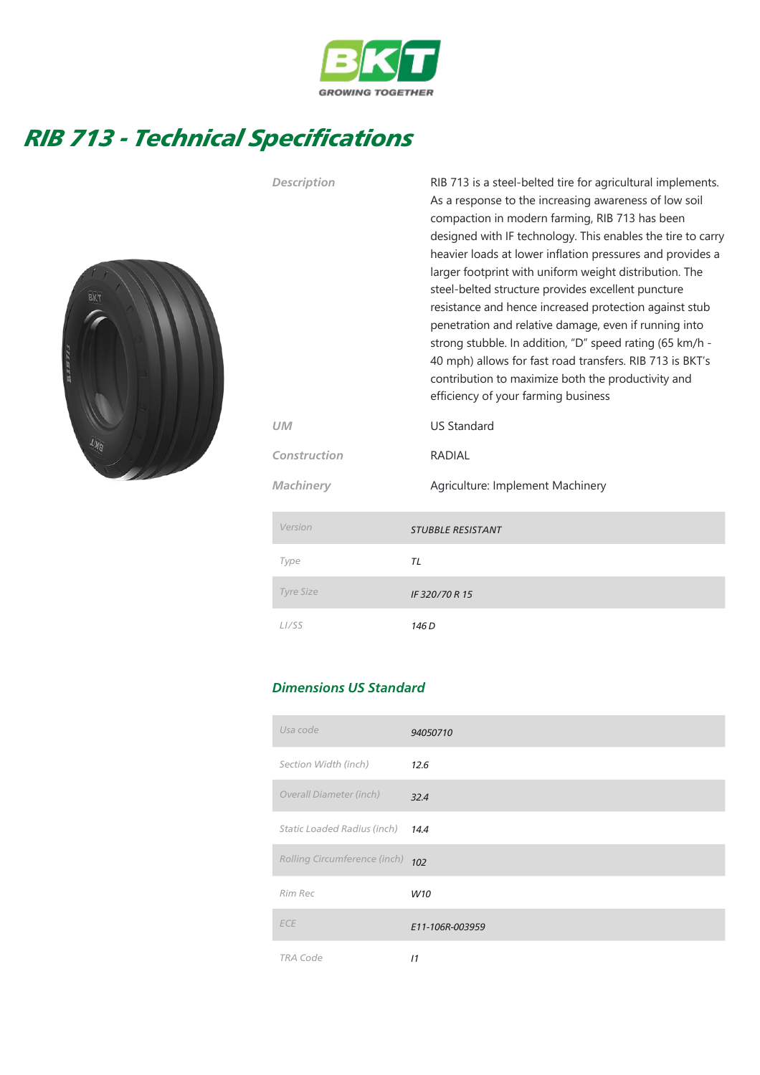

## RIB 713 - Technical Specifications



| Description        | RIB 713 is a steel-belted tire for agricultural implements.<br>As a response to the increasing awareness of low soil<br>compaction in modern farming, RIB 713 has been<br>designed with IF technology. This enables the tire to carry<br>heavier loads at lower inflation pressures and provides a<br>larger footprint with uniform weight distribution. The<br>steel-belted structure provides excellent puncture<br>resistance and hence increased protection against stub<br>penetration and relative damage, even if running into<br>strong stubble. In addition, "D" speed rating (65 km/h -<br>40 mph) allows for fast road transfers. RIB 713 is BKT's<br>contribution to maximize both the productivity and<br>efficiency of your farming business |
|--------------------|------------------------------------------------------------------------------------------------------------------------------------------------------------------------------------------------------------------------------------------------------------------------------------------------------------------------------------------------------------------------------------------------------------------------------------------------------------------------------------------------------------------------------------------------------------------------------------------------------------------------------------------------------------------------------------------------------------------------------------------------------------|
| UM                 | <b>US Standard</b>                                                                                                                                                                                                                                                                                                                                                                                                                                                                                                                                                                                                                                                                                                                                         |
| Construction       | <b>RADIAL</b>                                                                                                                                                                                                                                                                                                                                                                                                                                                                                                                                                                                                                                                                                                                                              |
| Machinery          | Agriculture: Implement Machinery                                                                                                                                                                                                                                                                                                                                                                                                                                                                                                                                                                                                                                                                                                                           |
| Version            | <b>STUBBLE RESISTANT</b>                                                                                                                                                                                                                                                                                                                                                                                                                                                                                                                                                                                                                                                                                                                                   |
| Type               | TL                                                                                                                                                                                                                                                                                                                                                                                                                                                                                                                                                                                                                                                                                                                                                         |
| <b>Tyre Size</b>   | IF 320/70 R 15                                                                                                                                                                                                                                                                                                                                                                                                                                                                                                                                                                                                                                                                                                                                             |
| L <sub>1</sub> /SS | 146 <sub>D</sub>                                                                                                                                                                                                                                                                                                                                                                                                                                                                                                                                                                                                                                                                                                                                           |

## Dimensions US Standard

| Usa code                     | 94050710        |
|------------------------------|-----------------|
| Section Width (inch)         | 12.6            |
| Overall Diameter (inch)      | 32.4            |
| Static Loaded Radius (inch)  | 14.4            |
| Rolling Circumference (inch) | 102             |
| Rim Rec                      | W10             |
| <b>ECE</b>                   | E11-106R-003959 |
| <b>TRA Code</b>              | 11              |